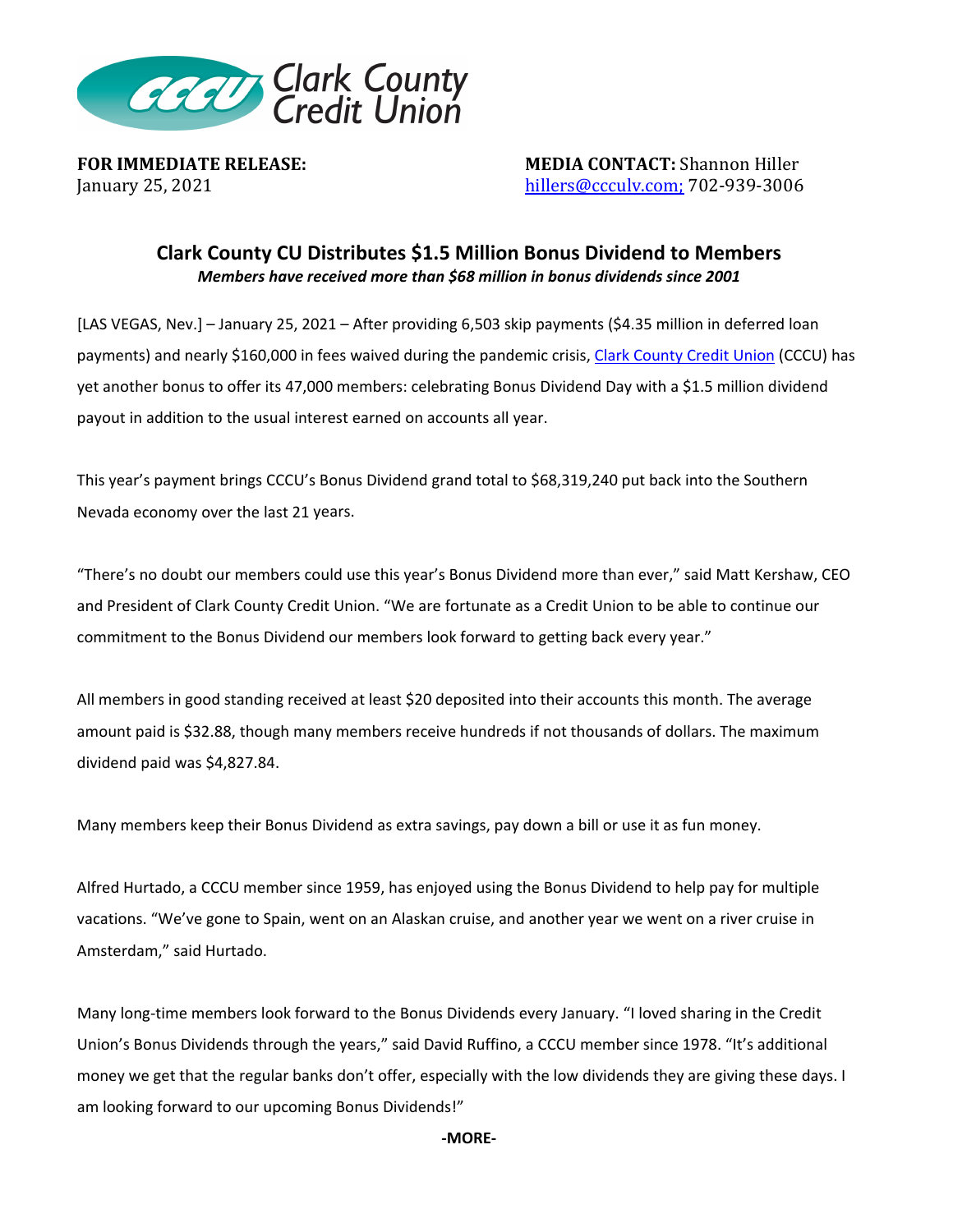

**FOR IMMEDIATE RELEASE: MEDIA CONTACT:** Shannon Hiller January 25, 2021 **hillers**@ccculv.com; 702-939-3006

## **Clark County CU Distributes \$1.5 Million Bonus Dividend to Members**  *Members have received more than \$68 million in bonus dividends since 2001*

[LAS VEGAS, Nev.] – January 25, 2021 – After providing 6,503 skip payments (\$4.35 million in deferred loan payments) and nearly \$160,000 in fees waived during the pandemic crisis, Clark County Credit Union (CCCU) has yet another bonus to offer its 47,000 members: celebrating Bonus Dividend Day with a \$1.5 million dividend payout in addition to the usual interest earned on accounts all year.

This year's payment brings CCCU's Bonus Dividend grand total to \$68,319,240 put back into the Southern Nevada economy over the last 21 years.

"There's no doubt our members could use this year's Bonus Dividend more than ever," said Matt Kershaw, CEO and President of Clark County Credit Union. "We are fortunate as a Credit Union to be able to continue our commitment to the Bonus Dividend our members look forward to getting back every year."

All members in good standing received at least \$20 deposited into their accounts this month. The average amount paid is \$32.88, though many members receive hundreds if not thousands of dollars. The maximum dividend paid was \$4,827.84.

Many members keep their Bonus Dividend as extra savings, pay down a bill or use it as fun money.

Alfred Hurtado, a CCCU member since 1959, has enjoyed using the Bonus Dividend to help pay for multiple vacations. "We've gone to Spain, went on an Alaskan cruise, and another year we went on a river cruise in Amsterdam," said Hurtado.

Many long‐time members look forward to the Bonus Dividends every January. "I loved sharing in the Credit Union's Bonus Dividends through the years," said David Ruffino, a CCCU member since 1978. "It's additional money we get that the regular banks don't offer, especially with the low dividends they are giving these days. I am looking forward to our upcoming Bonus Dividends!"

**‐MORE‐**